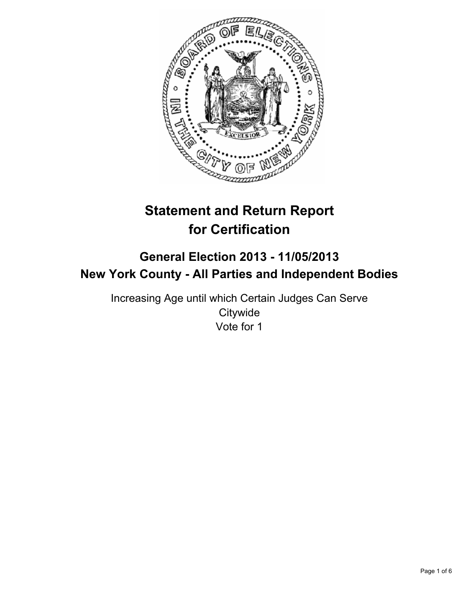

# **Statement and Return Report for Certification**

## **General Election 2013 - 11/05/2013 New York County - All Parties and Independent Bodies**

Increasing Age until which Certain Judges Can Serve **Citywide** Vote for 1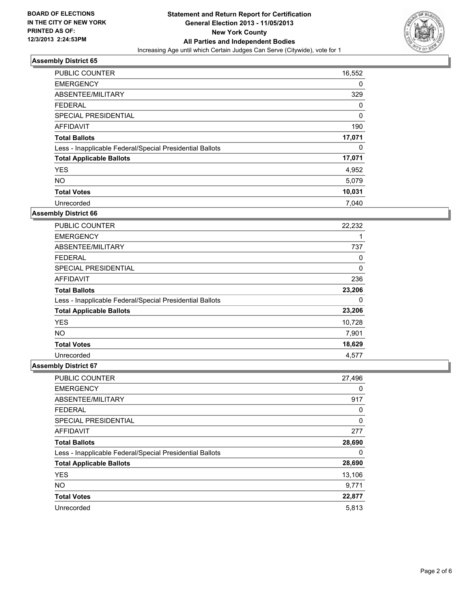

| PUBLIC COUNTER                                           | 16,552 |
|----------------------------------------------------------|--------|
| <b>EMERGENCY</b>                                         | 0      |
| ABSENTEE/MILITARY                                        | 329    |
| <b>FEDERAL</b>                                           | 0      |
| SPECIAL PRESIDENTIAL                                     | 0      |
| AFFIDAVIT                                                | 190    |
| <b>Total Ballots</b>                                     | 17,071 |
| Less - Inapplicable Federal/Special Presidential Ballots | 0      |
| <b>Total Applicable Ballots</b>                          | 17,071 |
| <b>YES</b>                                               | 4,952  |
| <b>NO</b>                                                | 5,079  |
| <b>Total Votes</b>                                       | 10,031 |
| Unrecorded                                               | 7.040  |

#### **Assembly District 66**

| <b>PUBLIC COUNTER</b>                                    | 22,232 |
|----------------------------------------------------------|--------|
| <b>EMERGENCY</b>                                         |        |
| ABSENTEE/MILITARY                                        | 737    |
| <b>FEDERAL</b>                                           | 0      |
| <b>SPECIAL PRESIDENTIAL</b>                              | 0      |
| AFFIDAVIT                                                | 236    |
| <b>Total Ballots</b>                                     | 23,206 |
| Less - Inapplicable Federal/Special Presidential Ballots | 0      |
| <b>Total Applicable Ballots</b>                          | 23,206 |
| <b>YES</b>                                               | 10,728 |
| <b>NO</b>                                                | 7,901  |
| <b>Total Votes</b>                                       | 18,629 |
| Unrecorded                                               | 4,577  |

| PUBLIC COUNTER                                           | 27,496 |
|----------------------------------------------------------|--------|
| <b>EMERGENCY</b>                                         | 0      |
| ABSENTEE/MILITARY                                        | 917    |
| <b>FEDERAL</b>                                           | 0      |
| SPECIAL PRESIDENTIAL                                     | 0      |
| AFFIDAVIT                                                | 277    |
| <b>Total Ballots</b>                                     | 28,690 |
| Less - Inapplicable Federal/Special Presidential Ballots | 0      |
| <b>Total Applicable Ballots</b>                          | 28,690 |
| <b>YES</b>                                               | 13,106 |
| <b>NO</b>                                                | 9,771  |
| <b>Total Votes</b>                                       | 22,877 |
| Unrecorded                                               | 5,813  |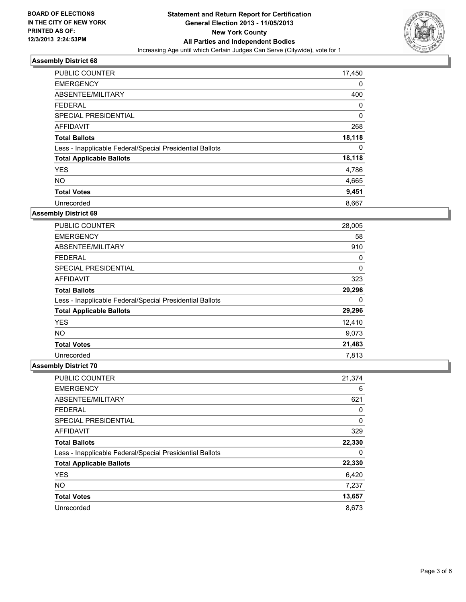

| <b>PUBLIC COUNTER</b>                                    | 17,450 |
|----------------------------------------------------------|--------|
| <b>EMERGENCY</b>                                         | 0      |
| ABSENTEE/MILITARY                                        | 400    |
| <b>FEDERAL</b>                                           | 0      |
| SPECIAL PRESIDENTIAL                                     | 0      |
| <b>AFFIDAVIT</b>                                         | 268    |
| <b>Total Ballots</b>                                     | 18,118 |
| Less - Inapplicable Federal/Special Presidential Ballots | 0      |
| <b>Total Applicable Ballots</b>                          | 18,118 |
| <b>YES</b>                                               | 4,786  |
| <b>NO</b>                                                | 4,665  |
| <b>Total Votes</b>                                       | 9,451  |
| Unrecorded                                               | 8,667  |

#### **Assembly District 69**

| <b>PUBLIC COUNTER</b>                                    | 28,005 |
|----------------------------------------------------------|--------|
| <b>EMERGENCY</b>                                         | 58     |
| ABSENTEE/MILITARY                                        | 910    |
| <b>FEDERAL</b>                                           | 0      |
| <b>SPECIAL PRESIDENTIAL</b>                              | 0      |
| AFFIDAVIT                                                | 323    |
| <b>Total Ballots</b>                                     | 29,296 |
| Less - Inapplicable Federal/Special Presidential Ballots | 0      |
| <b>Total Applicable Ballots</b>                          | 29,296 |
| <b>YES</b>                                               | 12,410 |
| <b>NO</b>                                                | 9,073  |
| <b>Total Votes</b>                                       | 21,483 |
| Unrecorded                                               | 7,813  |

| PUBLIC COUNTER                                           | 21,374 |
|----------------------------------------------------------|--------|
| <b>EMERGENCY</b>                                         | 6      |
| ABSENTEE/MILITARY                                        | 621    |
| <b>FEDERAL</b>                                           | 0      |
| SPECIAL PRESIDENTIAL                                     | 0      |
| AFFIDAVIT                                                | 329    |
| <b>Total Ballots</b>                                     | 22,330 |
| Less - Inapplicable Federal/Special Presidential Ballots | 0      |
| <b>Total Applicable Ballots</b>                          | 22,330 |
| <b>YES</b>                                               | 6,420  |
| <b>NO</b>                                                | 7,237  |
| <b>Total Votes</b>                                       | 13,657 |
| Unrecorded                                               | 8,673  |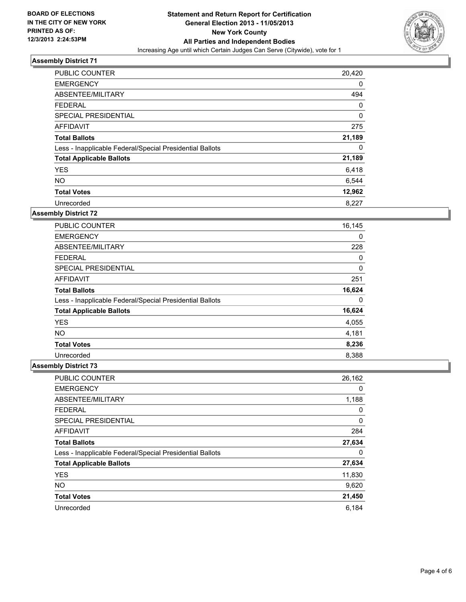

| <b>PUBLIC COUNTER</b>                                    | 20,420 |
|----------------------------------------------------------|--------|
| <b>EMERGENCY</b>                                         | 0      |
| ABSENTEE/MILITARY                                        | 494    |
| <b>FEDERAL</b>                                           | 0      |
| SPECIAL PRESIDENTIAL                                     | 0      |
| AFFIDAVIT                                                | 275    |
| <b>Total Ballots</b>                                     | 21,189 |
| Less - Inapplicable Federal/Special Presidential Ballots | 0      |
| <b>Total Applicable Ballots</b>                          | 21,189 |
| <b>YES</b>                                               | 6,418  |
| <b>NO</b>                                                | 6,544  |
| <b>Total Votes</b>                                       | 12,962 |
| Unrecorded                                               | 8,227  |

#### **Assembly District 72**

| <b>PUBLIC COUNTER</b>                                    | 16,145 |
|----------------------------------------------------------|--------|
| <b>EMERGENCY</b>                                         | 0      |
| ABSENTEE/MILITARY                                        | 228    |
| <b>FEDERAL</b>                                           | 0      |
| <b>SPECIAL PRESIDENTIAL</b>                              | 0      |
| AFFIDAVIT                                                | 251    |
| <b>Total Ballots</b>                                     | 16,624 |
| Less - Inapplicable Federal/Special Presidential Ballots | 0      |
| <b>Total Applicable Ballots</b>                          | 16,624 |
| <b>YES</b>                                               | 4,055  |
| <b>NO</b>                                                | 4,181  |
| <b>Total Votes</b>                                       | 8,236  |
| Unrecorded                                               | 8,388  |

| PUBLIC COUNTER                                           | 26,162 |
|----------------------------------------------------------|--------|
| <b>EMERGENCY</b>                                         | 0      |
| ABSENTEE/MILITARY                                        | 1,188  |
| <b>FEDERAL</b>                                           | 0      |
| SPECIAL PRESIDENTIAL                                     | 0      |
| <b>AFFIDAVIT</b>                                         | 284    |
| <b>Total Ballots</b>                                     | 27,634 |
| Less - Inapplicable Federal/Special Presidential Ballots | 0      |
| <b>Total Applicable Ballots</b>                          | 27,634 |
| <b>YES</b>                                               | 11,830 |
| <b>NO</b>                                                | 9,620  |
| <b>Total Votes</b>                                       | 21,450 |
| Unrecorded                                               | 6.184  |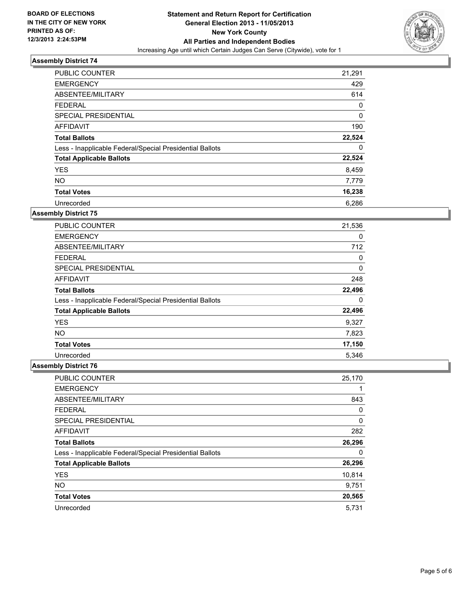

| <b>PUBLIC COUNTER</b>                                    | 21,291      |
|----------------------------------------------------------|-------------|
| <b>EMERGENCY</b>                                         | 429         |
| ABSENTEE/MILITARY                                        | 614         |
| <b>FEDERAL</b>                                           | 0           |
| SPECIAL PRESIDENTIAL                                     | $\mathbf 0$ |
| AFFIDAVIT                                                | 190         |
| <b>Total Ballots</b>                                     | 22,524      |
| Less - Inapplicable Federal/Special Presidential Ballots | 0           |
| <b>Total Applicable Ballots</b>                          | 22,524      |
| <b>YES</b>                                               | 8,459       |
| <b>NO</b>                                                | 7,779       |
| <b>Total Votes</b>                                       | 16,238      |
| Unrecorded                                               | 6,286       |

#### **Assembly District 75**

| <b>PUBLIC COUNTER</b>                                    | 21,536 |
|----------------------------------------------------------|--------|
| <b>EMERGENCY</b>                                         | 0      |
| ABSENTEE/MILITARY                                        | 712    |
| <b>FEDERAL</b>                                           | 0      |
| <b>SPECIAL PRESIDENTIAL</b>                              | 0      |
| AFFIDAVIT                                                | 248    |
| <b>Total Ballots</b>                                     | 22,496 |
| Less - Inapplicable Federal/Special Presidential Ballots | 0      |
| <b>Total Applicable Ballots</b>                          | 22,496 |
| <b>YES</b>                                               | 9,327  |
| <b>NO</b>                                                | 7,823  |
| <b>Total Votes</b>                                       | 17,150 |
| Unrecorded                                               | 5,346  |

| <b>PUBLIC COUNTER</b>                                    | 25,170 |
|----------------------------------------------------------|--------|
| <b>EMERGENCY</b>                                         |        |
| ABSENTEE/MILITARY                                        | 843    |
| <b>FEDERAL</b>                                           | 0      |
| SPECIAL PRESIDENTIAL                                     | 0      |
| AFFIDAVIT                                                | 282    |
| <b>Total Ballots</b>                                     | 26,296 |
| Less - Inapplicable Federal/Special Presidential Ballots | 0      |
| <b>Total Applicable Ballots</b>                          | 26,296 |
| <b>YES</b>                                               | 10,814 |
| <b>NO</b>                                                | 9,751  |
| <b>Total Votes</b>                                       | 20,565 |
| Unrecorded                                               | 5,731  |